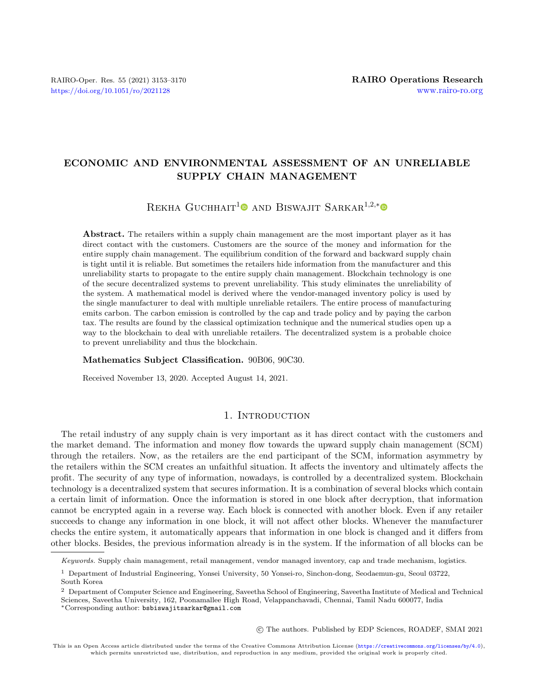# ECONOMIC AND ENVIRONMENTAL ASSESSMENT OF AN UNRELIABLE SUPPLY CHAIN MANAGEMENT

# REKHA GUCHHAIT<sup>[1](https://orcid.org/0000-0002-6839-3360)</sup> AND BISWAJIT SARKAR<sup>1,2,[\\*](https://orcid.org/0000-0002-6583-8416)</sup>

Abstract. The retailers within a supply chain management are the most important player as it has direct contact with the customers. Customers are the source of the money and information for the entire supply chain management. The equilibrium condition of the forward and backward supply chain is tight until it is reliable. But sometimes the retailers hide information from the manufacturer and this unreliability starts to propagate to the entire supply chain management. Blockchain technology is one of the secure decentralized systems to prevent unreliability. This study eliminates the unreliability of the system. A mathematical model is derived where the vendor-managed inventory policy is used by the single manufacturer to deal with multiple unreliable retailers. The entire process of manufacturing emits carbon. The carbon emission is controlled by the cap and trade policy and by paying the carbon tax. The results are found by the classical optimization technique and the numerical studies open up a way to the blockchain to deal with unreliable retailers. The decentralized system is a probable choice to prevent unreliability and thus the blockchain.

#### Mathematics Subject Classification. 90B06, 90C30.

Received November 13, 2020. Accepted August 14, 2021.

# 1. INTRODUCTION

The retail industry of any supply chain is very important as it has direct contact with the customers and the market demand. The information and money flow towards the upward supply chain management (SCM) through the retailers. Now, as the retailers are the end participant of the SCM, information asymmetry by the retailers within the SCM creates an unfaithful situation. It affects the inventory and ultimately affects the profit. The security of any type of information, nowadays, is controlled by a decentralized system. Blockchain technology is a decentralized system that secures information. It is a combination of several blocks which contain a certain limit of information. Once the information is stored in one block after decryption, that information cannot be encrypted again in a reverse way. Each block is connected with another block. Even if any retailer succeeds to change any information in one block, it will not affect other blocks. Whenever the manufacturer checks the entire system, it automatically appears that information in one block is changed and it differs from other blocks. Besides, the previous information already is in the system. If the information of all blocks can be

○c The authors. Published by EDP Sciences, ROADEF, SMAI 2021

Keywords. Supply chain management, retail management, vendor managed inventory, cap and trade mechanism, logistics.

<sup>1</sup> Department of Industrial Engineering, Yonsei University, 50 Yonsei-ro, Sinchon-dong, Seodaemun-gu, Seoul 03722, South Korea

<sup>&</sup>lt;sup>2</sup> Department of Computer Science and Engineering, Saveetha School of Engineering, Saveetha Institute of Medical and Technical Sciences, Saveetha University, 162, Poonamallee High Road, Velappanchavadi, Chennai, Tamil Nadu 600077, India

<sup>\*</sup>Corresponding author: [bsbiswajitsarkar@gmail.com](mailto:bsbiswajitsarkar@gmail.com)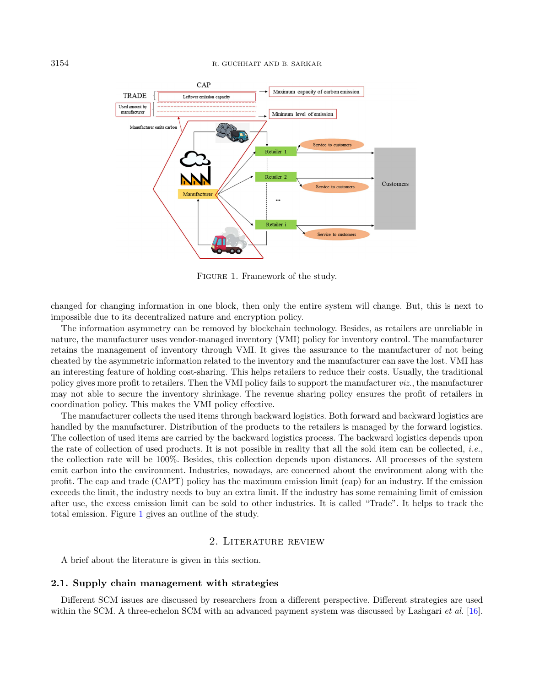

<span id="page-1-0"></span>Figure 1. Framework of the study.

changed for changing information in one block, then only the entire system will change. But, this is next to impossible due to its decentralized nature and encryption policy.

The information asymmetry can be removed by blockchain technology. Besides, as retailers are unreliable in nature, the manufacturer uses vendor-managed inventory (VMI) policy for inventory control. The manufacturer retains the management of inventory through VMI. It gives the assurance to the manufacturer of not being cheated by the asymmetric information related to the inventory and the manufacturer can save the lost. VMI has an interesting feature of holding cost-sharing. This helps retailers to reduce their costs. Usually, the traditional policy gives more profit to retailers. Then the VMI policy fails to support the manufacturer viz., the manufacturer may not able to secure the inventory shrinkage. The revenue sharing policy ensures the profit of retailers in coordination policy. This makes the VMI policy effective.

The manufacturer collects the used items through backward logistics. Both forward and backward logistics are handled by the manufacturer. Distribution of the products to the retailers is managed by the forward logistics. The collection of used items are carried by the backward logistics process. The backward logistics depends upon the rate of collection of used products. It is not possible in reality that all the sold item can be collected, i.e., the collection rate will be 100%. Besides, this collection depends upon distances. All processes of the system emit carbon into the environment. Industries, nowadays, are concerned about the environment along with the profit. The cap and trade (CAPT) policy has the maximum emission limit (cap) for an industry. If the emission exceeds the limit, the industry needs to buy an extra limit. If the industry has some remaining limit of emission after use, the excess emission limit can be sold to other industries. It is called "Trade". It helps to track the total emission. Figure [1](#page-1-0) gives an outline of the study.

### 2. Literature review

A brief about the literature is given in this section.

#### 2.1. Supply chain management with strategies

Different SCM issues are discussed by researchers from a different perspective. Different strategies are used within the SCM. A three-echelon SCM with an advanced payment system was discussed by Lashgari *et al.* [\[16\]](#page-16-0).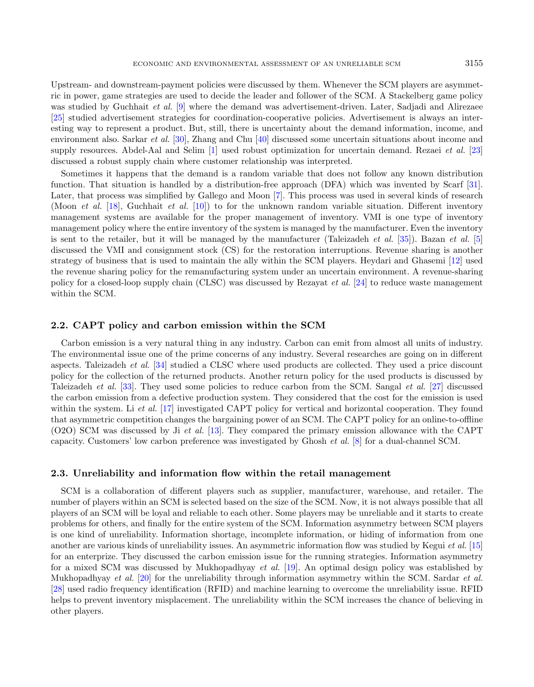Upstream- and downstream-payment policies were discussed by them. Whenever the SCM players are asymmetric in power, game strategies are used to decide the leader and follower of the SCM. A Stackelberg game policy was studied by Guchhait *et al.* [\[9\]](#page-16-1) where the demand was advertisement-driven. Later, Sadjadi and Alirezaee [\[25\]](#page-17-0) studied advertisement strategies for coordination-cooperative policies. Advertisement is always an interesting way to represent a product. But, still, there is uncertainty about the demand information, income, and environment also. Sarkar et al. [\[30\]](#page-17-1), Zhang and Chu [\[40\]](#page-17-2) discussed some uncertain situations about income and supply resources. Abdel-Aal and Selim [\[1\]](#page-16-2) used robust optimization for uncertain demand. Rezaei *et al.* [\[23\]](#page-16-3) discussed a robust supply chain where customer relationship was interpreted.

Sometimes it happens that the demand is a random variable that does not follow any known distribution function. That situation is handled by a distribution-free approach (DFA) which was invented by Scarf [\[31\]](#page-17-3). Later, that process was simplified by Gallego and Moon [\[7\]](#page-16-4). This process was used in several kinds of research (Moon et al. [\[18\]](#page-16-5), Guchhait et al. [\[10\]](#page-16-6)) to for the unknown random variable situation. Different inventory management systems are available for the proper management of inventory. VMI is one type of inventory management policy where the entire inventory of the system is managed by the manufacturer. Even the inventory is sent to the retailer, but it will be managed by the manufacturer (Taleizadeh *et al.* [\[35\]](#page-17-4)). Bazan *et al.* [\[5\]](#page-16-7) discussed the VMI and consignment stock (CS) for the restoration interruptions. Revenue sharing is another strategy of business that is used to maintain the ally within the SCM players. Heydari and Ghasemi [\[12\]](#page-16-8) used the revenue sharing policy for the remanufacturing system under an uncertain environment. A revenue-sharing policy for a closed-loop supply chain (CLSC) was discussed by Rezayat et al. [\[24\]](#page-17-5) to reduce waste management within the SCM.

#### 2.2. CAPT policy and carbon emission within the SCM

Carbon emission is a very natural thing in any industry. Carbon can emit from almost all units of industry. The environmental issue one of the prime concerns of any industry. Several researches are going on in different aspects. Taleizadeh et al. [\[34\]](#page-17-6) studied a CLSC where used products are collected. They used a price discount policy for the collection of the returned products. Another return policy for the used products is discussed by Taleizadeh *et al.* [\[33\]](#page-17-7). They used some policies to reduce carbon from the SCM. Sangal *et al.* [\[27\]](#page-17-8) discussed the carbon emission from a defective production system. They considered that the cost for the emission is used within the system. Li et al. [\[17\]](#page-16-9) investigated CAPT policy for vertical and horizontal cooperation. They found that asymmetric competition changes the bargaining power of an SCM. The CAPT policy for an online-to-offline (O2O) SCM was discussed by Ji et al. [\[13\]](#page-16-10). They compared the primary emission allowance with the CAPT capacity. Customers' low carbon preference was investigated by Ghosh et al. [\[8\]](#page-16-11) for a dual-channel SCM.

#### 2.3. Unreliability and information flow within the retail management

SCM is a collaboration of different players such as supplier, manufacturer, warehouse, and retailer. The number of players within an SCM is selected based on the size of the SCM. Now, it is not always possible that all players of an SCM will be loyal and reliable to each other. Some players may be unreliable and it starts to create problems for others, and finally for the entire system of the SCM. Information asymmetry between SCM players is one kind of unreliability. Information shortage, incomplete information, or hiding of information from one another are various kinds of unreliability issues. An asymmetric information flow was studied by Kegui et al. [\[15\]](#page-16-12) for an enterprize. They discussed the carbon emission issue for the running strategies. Information asymmetry for a mixed SCM was discussed by Mukhopadhyay et al. [\[19\]](#page-16-13). An optimal design policy was established by Mukhopadhyay et al. [\[20\]](#page-16-14) for the unreliability through information asymmetry within the SCM. Sardar et al. [\[28\]](#page-17-9) used radio frequency identification (RFID) and machine learning to overcome the unreliability issue. RFID helps to prevent inventory misplacement. The unreliability within the SCM increases the chance of believing in other players.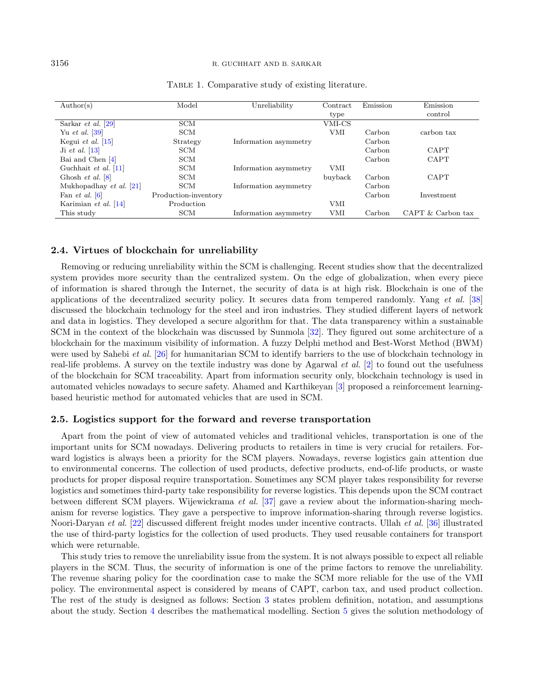#### 3156 R. GUCHHAIT AND B. SARKAR

| $\text{Author}(s)$                      | Model                | Unreliability         | Contract   | Emission | Emission          |
|-----------------------------------------|----------------------|-----------------------|------------|----------|-------------------|
|                                         |                      |                       | type       |          | control           |
| Sarkar <i>et al.</i> $[29]$             | <b>SCM</b>           |                       | VMI-CS     |          |                   |
| Yu <i>et al.</i> $ 39 $                 | <b>SCM</b>           |                       | <b>VMI</b> | Carbon   | carbon tax        |
| Kegui <i>et al.</i> $\vert 15 \vert$    | Strategy             | Information asymmetry |            | Carbon   |                   |
| Ji et al. $[13]$                        | SCM                  |                       |            | Carbon   | <b>CAPT</b>       |
| Bai and Chen $[4]$                      | <b>SCM</b>           |                       |            | Carbon   | <b>CAPT</b>       |
| Guchhait et al. $[11]$                  | <b>SCM</b>           | Information asymmetry | VMI        |          |                   |
| Ghosh <i>et al.</i> $\lbrack 8 \rbrack$ | <b>SCM</b>           |                       | buyback    | Carbon   | <b>CAPT</b>       |
| Mukhopadhay et al. $[21]$               | <b>SCM</b>           | Information asymmetry |            | Carbon   |                   |
| Fan <i>et al.</i> $ 6 $                 | Production-inventory |                       |            | Carbon   | Investment        |
| Karimian et al. [14]                    | Production           |                       | VMI        |          |                   |
| This study                              | <b>SCM</b>           | Information asymmetry | VMI        | Carbon   | CAPT & Carbon tax |

Table 1. Comparative study of existing literature.

#### 2.4. Virtues of blockchain for unreliability

Removing or reducing unreliability within the SCM is challenging. Recent studies show that the decentralized system provides more security than the centralized system. On the edge of globalization, when every piece of information is shared through the Internet, the security of data is at high risk. Blockchain is one of the applications of the decentralized security policy. It secures data from tempered randomly. Yang et al. [\[38\]](#page-17-12) discussed the blockchain technology for the steel and iron industries. They studied different layers of network and data in logistics. They developed a secure algorithm for that. The data transparency within a sustainable SCM in the context of the blockchain was discussed by Sunmola [\[32\]](#page-17-13). They figured out some architecture of a blockchain for the maximum visibility of information. A fuzzy Delphi method and Best-Worst Method (BWM) were used by Sahebi et al. [\[26\]](#page-17-14) for humanitarian SCM to identify barriers to the use of blockchain technology in real-life problems. A survey on the textile industry was done by Agarwal et al. [\[2\]](#page-16-20) to found out the usefulness of the blockchain for SCM traceability. Apart from information security only, blockchain technology is used in automated vehicles nowadays to secure safety. Ahamed and Karthikeyan [\[3\]](#page-16-21) proposed a reinforcement learningbased heuristic method for automated vehicles that are used in SCM.

#### 2.5. Logistics support for the forward and reverse transportation

Apart from the point of view of automated vehicles and traditional vehicles, transportation is one of the important units for SCM nowadays. Delivering products to retailers in time is very crucial for retailers. Forward logistics is always been a priority for the SCM players. Nowadays, reverse logistics gain attention due to environmental concerns. The collection of used products, defective products, end-of-life products, or waste products for proper disposal require transportation. Sometimes any SCM player takes responsibility for reverse logistics and sometimes third-party take responsibility for reverse logistics. This depends upon the SCM contract between different SCM players. Wijewickrama et al. [\[37\]](#page-17-15) gave a review about the information-sharing mechanism for reverse logistics. They gave a perspective to improve information-sharing through reverse logistics. Noori-Daryan et al. [\[22\]](#page-16-22) discussed different freight modes under incentive contracts. Ullah et al. [\[36\]](#page-17-16) illustrated the use of third-party logistics for the collection of used products. They used reusable containers for transport which were returnable.

This study tries to remove the unreliability issue from the system. It is not always possible to expect all reliable players in the SCM. Thus, the security of information is one of the prime factors to remove the unreliability. The revenue sharing policy for the coordination case to make the SCM more reliable for the use of the VMI policy. The environmental aspect is considered by means of CAPT, carbon tax, and used product collection. The rest of the study is designed as follows: Section [3](#page-4-0) states problem definition, notation, and assumptions about the study. Section [4](#page-5-0) describes the mathematical modelling. Section [5](#page-9-0) gives the solution methodology of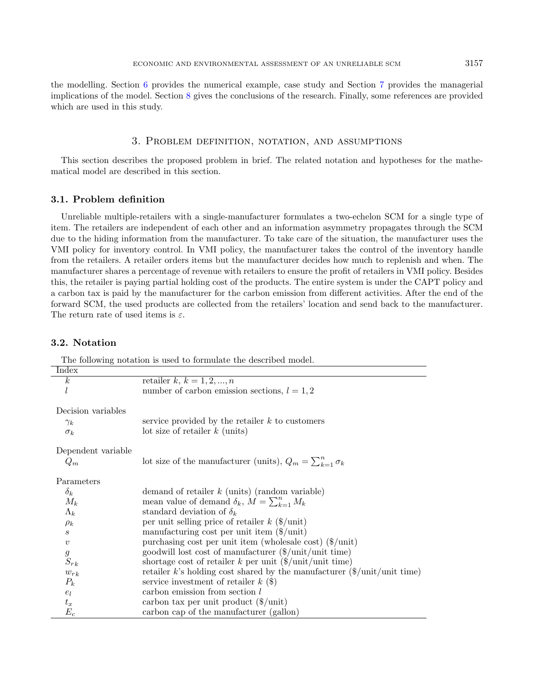the modelling. Section [6](#page-11-0) provides the numerical example, case study and Section [7](#page-14-0) provides the managerial implications of the model. Section [8](#page-15-0) gives the conclusions of the research. Finally, some references are provided which are used in this study.

#### 3. Problem definition, notation, and assumptions

<span id="page-4-0"></span>This section describes the proposed problem in brief. The related notation and hypotheses for the mathematical model are described in this section.

### 3.1. Problem definition

Unreliable multiple-retailers with a single-manufacturer formulates a two-echelon SCM for a single type of item. The retailers are independent of each other and an information asymmetry propagates through the SCM due to the hiding information from the manufacturer. To take care of the situation, the manufacturer uses the VMI policy for inventory control. In VMI policy, the manufacturer takes the control of the inventory handle from the retailers. A retailer orders items but the manufacturer decides how much to replenish and when. The manufacturer shares a percentage of revenue with retailers to ensure the profit of retailers in VMI policy. Besides this, the retailer is paying partial holding cost of the products. The entire system is under the CAPT policy and a carbon tax is paid by the manufacturer for the carbon emission from different activities. After the end of the forward SCM, the used products are collected from the retailers' location and send back to the manufacturer. The return rate of used items is  $\varepsilon$ .

# 3.2. Notation

The following notation is used to formulate the described model.

| Index              |                                                                                     |
|--------------------|-------------------------------------------------------------------------------------|
| $\boldsymbol{k}$   | retailer $k, k = 1, 2, , n$                                                         |
| $\mathfrak l$      | number of carbon emission sections, $l = 1, 2$                                      |
| Decision variables |                                                                                     |
| $\gamma_k$         | service provided by the retailer $k$ to customers                                   |
| $\sigma_k$         | lot size of retailer $k$ (units)                                                    |
| Dependent variable |                                                                                     |
| $Q_m$              | lot size of the manufacturer (units), $Q_m = \sum_{k=1}^n \sigma_k$                 |
| Parameters         |                                                                                     |
| $\delta_k$         | demand of retailer $k$ (units) (random variable)                                    |
| $M_k$              | mean value of demand $\delta_k$ , $M = \sum_{k=1}^n M_k$                            |
| $\Lambda_k$        | standard deviation of $\delta_k$                                                    |
| $\rho_k$           | per unit selling price of retailer $k$ (\$/unit)                                    |
| S                  | manufacturing cost per unit item $(\frac{2}{\text{unit}})$                          |
| $\boldsymbol{v}$   | purchasing cost per unit item (wholesale cost) $(\frac{1}{2})$ unit)                |
| $\boldsymbol{g}$   | goodwill lost cost of manufacturer $(\frac{2}{\text{unit}}/\text{unit time})$       |
| $S_{rk}$           | shortage cost of retailer $k$ per unit $(\frac{1}{2})$ unit/unit time)              |
| $w_{rk}$           | retailer k's holding cost shared by the manufacturer $(\frac{1}{2}$ unit/unit time) |
| $P_k$              | service investment of retailer $k$ (\$)                                             |
| $\mathfrak{e}_l$   | carbon emission from section l                                                      |
| $t_x$              | carbon tax per unit product $(\frac{1}{2})$ unit)                                   |
| $E_c$              | carbon cap of the manufacturer (gallon)                                             |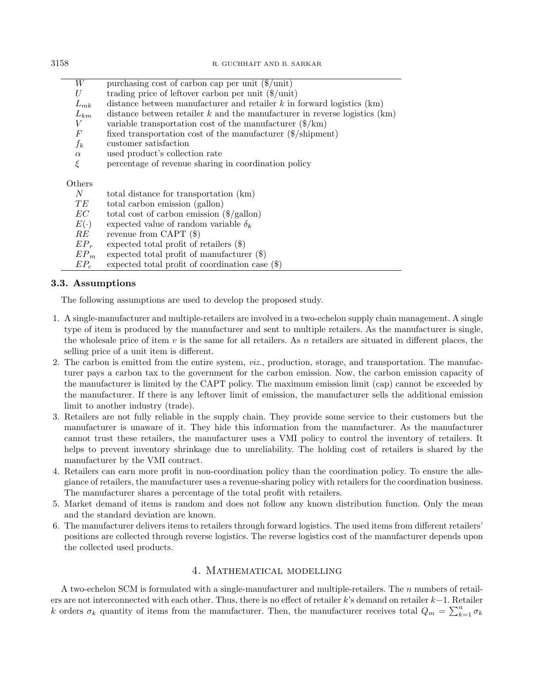| W                | purchasing cost of carbon cap per unit $(\frac{1}{2})$ unit)                   |
|------------------|--------------------------------------------------------------------------------|
| U                | trading price of leftover carbon per unit $(\frac{1}{2})$ unit)                |
| $L_{mk}$         | distance between manufacturer and retailer $k$ in forward logistics (km)       |
| $L_{km}$         | distance between retailer $k$ and the manufacturer in reverse logistics $(km)$ |
| V                | variable transportation cost of the manufacturer $(\frac{1}{2}km)$             |
| $\boldsymbol{F}$ | fixed transportation cost of the manufacturer $(\frac{1}{2}$ shipment)         |
| $f_k$            | customer satisfaction                                                          |
| $\alpha$         | used product's collection rate                                                 |
| ξ                | percentage of revenue sharing in coordination policy                           |
|                  |                                                                                |
| Others           |                                                                                |
| $N_{\rm}$        | total distance for transportation (km)                                         |
| TЕ               | total carbon emission (gallon)                                                 |
| EC               | total cost of carbon emission $(\frac{2}{3} \text{gallon})$                    |
| $E(\cdot)$       | expected value of random variable $\delta_k$                                   |
| RE               | revenue from CAPT $(\$)$                                                       |
| $EP_r$           | expected total profit of retailers $(\$)$                                      |
| $EP_m$           | expected total profit of manufacturer $(\$)$                                   |
| $EP_c$           | expected total profit of coordination case $(\$)$                              |
|                  |                                                                                |

# 3.3. Assumptions

The following assumptions are used to develop the proposed study.

- 1. A single-manufacturer and multiple-retailers are involved in a two-echelon supply chain management. A single type of item is produced by the manufacturer and sent to multiple retailers. As the manufacturer is single, the wholesale price of item  $v$  is the same for all retailers. As  $n$  retailers are situated in different places, the selling price of a unit item is different.
- 2. The carbon is emitted from the entire system, viz., production, storage, and transportation. The manufacturer pays a carbon tax to the government for the carbon emission. Now, the carbon emission capacity of the manufacturer is limited by the CAPT policy. The maximum emission limit (cap) cannot be exceeded by the manufacturer. If there is any leftover limit of emission, the manufacturer sells the additional emission limit to another industry (trade).
- 3. Retailers are not fully reliable in the supply chain. They provide some service to their customers but the manufacturer is unaware of it. They hide this information from the manufacturer. As the manufacturer cannot trust these retailers, the manufacturer uses a VMI policy to control the inventory of retailers. It helps to prevent inventory shrinkage due to unreliability. The holding cost of retailers is shared by the manufacturer by the VMI contract.
- 4. Retailers can earn more profit in non-coordination policy than the coordination policy. To ensure the allegiance of retailers, the manufacturer uses a revenue-sharing policy with retailers for the coordination business. The manufacturer shares a percentage of the total profit with retailers.
- 5. Market demand of items is random and does not follow any known distribution function. Only the mean and the standard deviation are known.
- 6. The manufacturer delivers items to retailers through forward logistics. The used items from different retailers' positions are collected through reverse logistics. The reverse logistics cost of the manufacturer depends upon the collected used products.

# 4. Mathematical modelling

<span id="page-5-0"></span>A two-echelon SCM is formulated with a single-manufacturer and multiple-retailers. The numbers of retailers are not interconnected with each other. Thus, there is no effect of retailer  $k$ 's demand on retailer  $k-1$ . Retailer k orders  $\sigma_k$  quantity of items from the manufacturer. Then, the manufacturer receives total  $Q_m = \sum_{k=1}^n \sigma_k$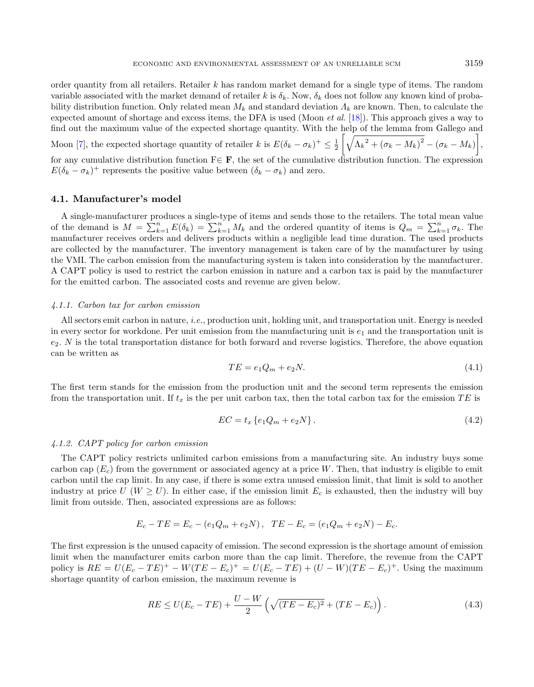order quantity from all retailers. Retailer  $k$  has random market demand for a single type of items. The random variable associated with the market demand of retailer k is  $\delta_k$ . Now,  $\delta_k$  does not follow any known kind of probability distribution function. Only related mean  $M_k$  and standard deviation  $\Lambda_k$  are known. Then, to calculate the expected amount of shortage and excess items, the DFA is used (Moon et al. [\[18\]](#page-16-5)). This approach gives a way to find out the maximum value of the expected shortage quantity. With the help of the lemma from Gallego and Moon [\[7\]](#page-16-4), the expected shortage quantity of retailer k is  $E(\delta_k - \sigma_k)^+ \leq \frac{1}{2}$  $\left[\sqrt{{\Lambda_k}^2 + \left(\sigma_k - M_k\right)^2} - \left(\sigma_k - M_k\right)\right],$ for any cumulative distribution function  $F \in \mathbf{F}$ , the set of the cumulative distribution function. The expression  $E(\delta_k - \sigma_k)^+$  represents the positive value between  $(\delta_k - \sigma_k)$  and zero.

# 4.1. Manufacturer's model

A single-manufacturer produces a single-type of items and sends those to the retailers. The total mean value of the demand is  $M = \sum_{k=1}^{n} E(\delta_k) = \sum_{k=1}^{n} M_k$  and the ordered quantity of items is  $Q_m = \sum_{k=1}^{n} \sigma_k$ . The manufacturer receives orders and delivers products within a negligible lead time duration. The used products are collected by the manufacturer. The inventory management is taken care of by the manufacturer by using the VMI. The carbon emission from the manufacturing system is taken into consideration by the manufacturer. A CAPT policy is used to restrict the carbon emission in nature and a carbon tax is paid by the manufacturer for the emitted carbon. The associated costs and revenue are given below.

#### 4.1.1. Carbon tax for carbon emission

All sectors emit carbon in nature, *i.e.*, production unit, holding unit, and transportation unit. Energy is needed in every sector for workdone. Per unit emission from the manufacturing unit is  $e_1$  and the transportation unit is  $e_2$ . N is the total transportation distance for both forward and reverse logistics. Therefore, the above equation can be written as

$$
TE = e_1 Q_m + e_2 N. \tag{4.1}
$$

The first term stands for the emission from the production unit and the second term represents the emission from the transportation unit. If  $t_x$  is the per unit carbon tax, then the total carbon tax for the emission TE is

$$
EC = t_x \{e_1 Q_m + e_2 N\}.
$$
\n(4.2)

#### 4.1.2. CAPT policy for carbon emission

The CAPT policy restricts unlimited carbon emissions from a manufacturing site. An industry buys some carbon cap  $(E_c)$  from the government or associated agency at a price W. Then, that industry is eligible to emit carbon until the cap limit. In any case, if there is some extra unused emission limit, that limit is sold to another industry at price  $U$  ( $W \ge U$ ). In either case, if the emission limit  $E_c$  is exhausted, then the industry will buy limit from outside. Then, associated expressions are as follows:

$$
E_c - TE = E_c - (e_1 Q_m + e_2 N), \quad TE - E_c = (e_1 Q_m + e_2 N) - E_c.
$$

The first expression is the unused capacity of emission. The second expression is the shortage amount of emission limit when the manufacturer emits carbon more than the cap limit. Therefore, the revenue from the CAPT policy is  $RE = U(E_c - TE)^+ - W(TE - E_c)^+ = U(E_c - TE) + (U - W)(TE - E_c)^+$ . Using the maximum shortage quantity of carbon emission, the maximum revenue is

$$
RE \le U(E_c - TE) + \frac{U - W}{2} \left( \sqrt{(TE - E_c)^2} + (TE - E_c) \right).
$$
 (4.3)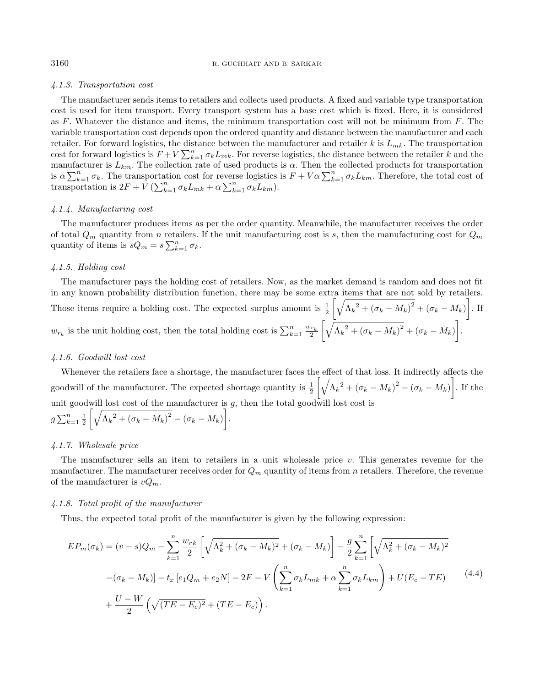#### 4.1.3. Transportation cost

The manufacturer sends items to retailers and collects used products. A fixed and variable type transportation cost is used for item transport. Every transport system has a base cost which is fixed. Here, it is considered as  $F$ . Whatever the distance and items, the minimum transportation cost will not be minimum from  $F$ . The variable transportation cost depends upon the ordered quantity and distance between the manufacturer and each retailer. For forward logistics, the distance between the manufacturer and retailer  $k$  is  $L_{mk}$ . The transportation cost for forward logistics is  $F + V \sum_{k=1}^{n} \sigma_k L_{mk}$ . For reverse logistics, the distance between the retailer k and the manufacturer is  $L_{km}$ . The collection rate of used products is  $\alpha$ . Then the collected products for transportation is  $\alpha \sum_{k=1}^{n} \sigma_k$ . The transportation cost for reverse logistics is  $F + V \alpha \sum_{k=1}^{n} \sigma_k L_{km}$ . Therefore, the total cost of transportation is  $2F + V \left(\sum_{k=1}^n \sigma_k L_{mk} + \alpha \sum_{k=1}^n \sigma_k L_{km}\right)$ .

#### 4.1.4. Manufacturing cost

The manufacturer produces items as per the order quantity. Meanwhile, the manufacturer receives the order of total  $Q_m$  quantity from *n* retailers. If the unit manufacturing cost is s, then the manufacturing cost for  $Q_m$ quantity of items is  $sQ_m = s\sum_{k=1}^n \sigma_k$ .

#### 4.1.5. Holding cost

The manufacturer pays the holding cost of retailers. Now, as the market demand is random and does not fit in any known probability distribution function, there may be some extra items that are not sold by retailers. Those items require a holding cost. The expected surplus amount is  $\frac{1}{2}$  $\left[\sqrt{\Lambda_k^2 + (\sigma_k - M_k)^2} + (\sigma_k - M_k)\right]$ . If  $w_{r_k}$  is the unit holding cost, then the total holding cost is  $\sum_{k=1}^{n} \frac{w_{r_k}}{2}$  $\left[\sqrt{{\Lambda_k}^2 + \left(\sigma_k - M_k\right)^2} + \left(\sigma_k - M_k\right)\right].$ 

#### 4.1.6. Goodwill lost cost

Whenever the retailers face a shortage, the manufacturer faces the effect of that loss. It indirectly affects the goodwill of the manufacturer. The expected shortage quantity is  $\frac{1}{2}$  $\left[\sqrt{\Lambda_k^2 + (\sigma_k - M_k)^2} - (\sigma_k - M_k)\right]$ . If the unit goodwill lost cost of the manufacturer is  $g$ , then the total goodwill lost cost is  $g\sum_{k=1}^n\frac{1}{2}$  $\left[\sqrt{\Lambda_k^2 + (\sigma_k - M_k)^2} - (\sigma_k - M_k)\right].$ 

#### 4.1.7. Wholesale price

The manufacturer sells an item to retailers in a unit wholesale price  $v$ . This generates revenue for the manufacturer. The manufacturer receives order for  $Q_m$  quantity of items from n retailers. Therefore, the revenue of the manufacturer is  $vQ_m$ .

#### 4.1.8. Total profit of the manufacturer

Thus, the expected total profit of the manufacturer is given by the following expression:

$$
EP_m(\sigma_k) = (v - s)Q_m - \sum_{k=1}^n \frac{w_{rk}}{2} \left[ \sqrt{\Lambda_k^2 + (\sigma_k - M_k)^2} + (\sigma_k - M_k) \right] - \frac{g}{2} \sum_{k=1}^n \left[ \sqrt{\Lambda_k^2 + (\sigma_k - M_k)^2} - (\sigma_k - M_k) \right] - t_x \left[ e_1 Q_m + e_2 N \right] - 2F - V \left( \sum_{k=1}^n \sigma_k L_{mk} + \alpha \sum_{k=1}^n \sigma_k L_{km} \right) + U(E_c - TE) \qquad (4.4)
$$

$$
+ \frac{U - W}{2} \left( \sqrt{(TE - E_c)^2} + (TE - E_c) \right).
$$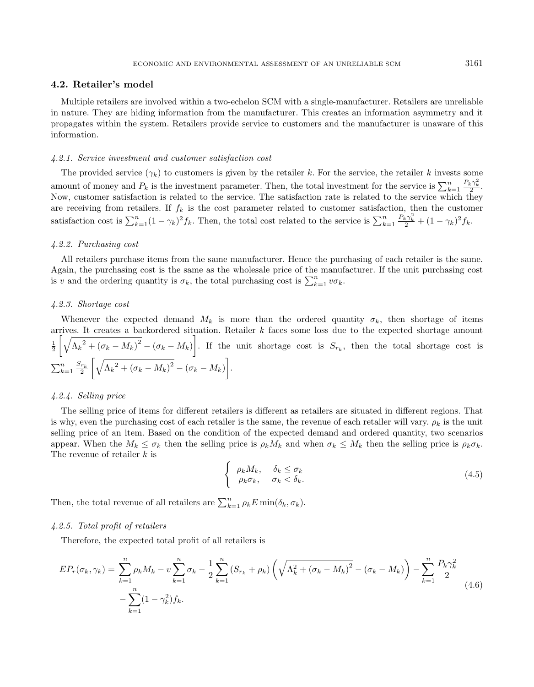#### 4.2. Retailer's model

Multiple retailers are involved within a two-echelon SCM with a single-manufacturer. Retailers are unreliable in nature. They are hiding information from the manufacturer. This creates an information asymmetry and it propagates within the system. Retailers provide service to customers and the manufacturer is unaware of this information.

#### 4.2.1. Service investment and customer satisfaction cost

The provided service  $(\gamma_k)$  to customers is given by the retailer k. For the service, the retailer k invests some amount of money and  $P_k$  is the investment parameter. Then, the total investment for the service is  $\sum_{k=1}^n \frac{P_k \gamma_k^2}{2}$ . Now, customer satisfaction is related to the service. The satisfaction rate is related to the service which they are receiving from retailers. If  $f_k$  is the cost parameter related to customer satisfaction, then the customer satisfaction cost is  $\sum_{k=1}^{n} (1 - \gamma_k)^2 f_k$ . Then, the total cost related to the service is  $\sum_{k=1}^{n} \frac{P_k \gamma_k^2}{2} + (1 - \gamma_k)^2 f_k$ .

#### 4.2.2. Purchasing cost

All retailers purchase items from the same manufacturer. Hence the purchasing of each retailer is the same. Again, the purchasing cost is the same as the wholesale price of the manufacturer. If the unit purchasing cost is v and the ordering quantity is  $\sigma_k$ , the total purchasing cost is  $\sum_{k=1}^n v \sigma_k$ .

#### 4.2.3. Shortage cost

Whenever the expected demand  $M_k$  is more than the ordered quantity  $\sigma_k$ , then shortage of items arrives. It creates a backordered situation. Retailer  $k$  faces some loss due to the expected shortage amount  $\frac{1}{2}$  $\left[\sqrt{\Lambda_k^2 + (\sigma_k - M_k)^2} - (\sigma_k - M_k)\right]$ . If the unit shortage cost is  $S_{r_k}$ , then the total shortage cost is  $\sum_{k=1}^n \frac{S_{r_k}}{2}$  $\left[\sqrt{\Lambda_k^2 + \left(\sigma_k - M_k\right)^2} - \left(\sigma_k - M_k\right)\right].$ 

#### 4.2.4. Selling price

The selling price of items for different retailers is different as retailers are situated in different regions. That is why, even the purchasing cost of each retailer is the same, the revenue of each retailer will vary.  $\rho_k$  is the unit selling price of an item. Based on the condition of the expected demand and ordered quantity, two scenarios appear. When the  $M_k \leq \sigma_k$  then the selling price is  $\rho_k M_k$  and when  $\sigma_k \leq M_k$  then the selling price is  $\rho_k \sigma_k$ . The revenue of retailer  $k$  is

<span id="page-8-0"></span>
$$
\begin{cases}\n\rho_k M_k, & \delta_k \leq \sigma_k \\
\rho_k \sigma_k, & \sigma_k < \delta_k.\n\end{cases}
$$
\n(4.5)

Then, the total revenue of all retailers are  $\sum_{k=1}^{n} \rho_k E \min(\delta_k, \sigma_k)$ .

#### 4.2.5. Total profit of retailers

Therefore, the expected total profit of all retailers is

$$
EP_r(\sigma_k, \gamma_k) = \sum_{k=1}^n \rho_k M_k - v \sum_{k=1}^n \sigma_k - \frac{1}{2} \sum_{k=1}^n (S_{r_k} + \rho_k) \left( \sqrt{\Lambda_k^2 + (\sigma_k - M_k)^2} - (\sigma_k - M_k) \right) - \sum_{k=1}^n \frac{P_k \gamma_k^2}{2}
$$
  
- 
$$
\sum_{k=1}^n (1 - \gamma_k^2) f_k.
$$
 (4.6)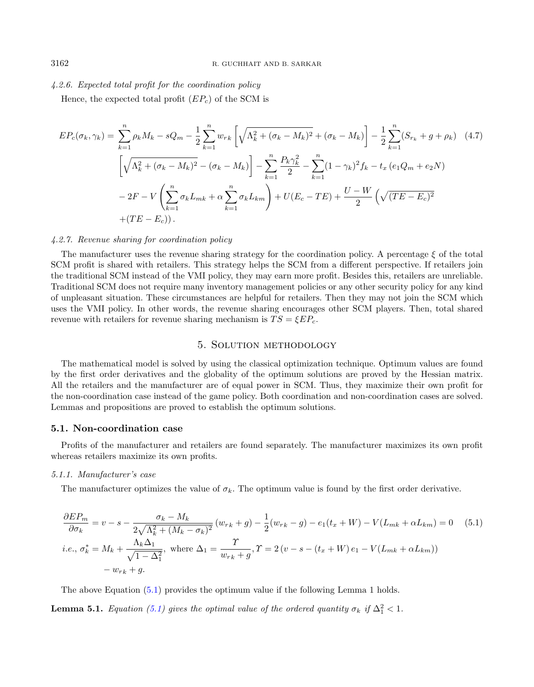#### 4.2.6. Expected total profit for the coordination policy

Hence, the expected total profit  $(EP_c)$  of the SCM is

$$
EP_c(\sigma_k, \gamma_k) = \sum_{k=1}^n \rho_k M_k - sQ_m - \frac{1}{2} \sum_{k=1}^n w_{rk} \left[ \sqrt{\Lambda_k^2 + (\sigma_k - M_k)^2} + (\sigma_k - M_k) \right] - \frac{1}{2} \sum_{k=1}^n (S_{r_k} + g + \rho_k) \quad (4.7)
$$
  

$$
\left[ \sqrt{\Lambda_k^2 + (\sigma_k - M_k)^2} - (\sigma_k - M_k) \right] - \sum_{k=1}^n \frac{P_k \gamma_k^2}{2} - \sum_{k=1}^n (1 - \gamma_k)^2 f_k - t_x (e_1 Q_m + e_2 N)
$$
  

$$
- 2F - V \left( \sum_{k=1}^n \sigma_k L_{mk} + \alpha \sum_{k=1}^n \sigma_k L_{km} \right) + U(E_c - TE) + \frac{U - W}{2} \left( \sqrt{(TE - E_c)^2} + (TE - E_c) \right).
$$

#### 4.2.7. Revenue sharing for coordination policy

The manufacturer uses the revenue sharing strategy for the coordination policy. A percentage  $\xi$  of the total SCM profit is shared with retailers. This strategy helps the SCM from a different perspective. If retailers join the traditional SCM instead of the VMI policy, they may earn more profit. Besides this, retailers are unreliable. Traditional SCM does not require many inventory management policies or any other security policy for any kind of unpleasant situation. These circumstances are helpful for retailers. Then they may not join the SCM which uses the VMI policy. In other words, the revenue sharing encourages other SCM players. Then, total shared revenue with retailers for revenue sharing mechanism is  $TS = \xi E P_c$ .

### <span id="page-9-1"></span>5. Solution methodology

<span id="page-9-0"></span>The mathematical model is solved by using the classical optimization technique. Optimum values are found by the first order derivatives and the globality of the optimum solutions are proved by the Hessian matrix. All the retailers and the manufacturer are of equal power in SCM. Thus, they maximize their own profit for the non-coordination case instead of the game policy. Both coordination and non-coordination cases are solved. Lemmas and propositions are proved to establish the optimum solutions.

#### 5.1. Non-coordination case

Profits of the manufacturer and retailers are found separately. The manufacturer maximizes its own profit whereas retailers maximize its own profits.

#### 5.1.1. Manufacturer's case

The manufacturer optimizes the value of  $\sigma_k$ . The optimum value is found by the first order derivative.

$$
\frac{\partial E P_m}{\partial \sigma_k} = v - s - \frac{\sigma_k - M_k}{2\sqrt{\Lambda_k^2 + (M_k - \sigma_k)^2}} (w_{rk} + g) - \frac{1}{2} (w_{rk} - g) - e_1(t_x + W) - V(L_{mk} + \alpha L_{km}) = 0 \quad (5.1)
$$
  
*i.e.*,  $\sigma_k^* = M_k + \frac{\Lambda_k \Delta_1}{\sqrt{1 - \Delta_1^2}}$ , where  $\Delta_1 = \frac{\Upsilon}{w_{rk} + g}$ ,  $\Upsilon = 2 (v - s - (t_x + W) e_1 - V(L_{mk} + \alpha L_{km}))$   
 $- w_{rk} + g$ .

The above Equation [\(5.1\)](#page-9-1) provides the optimum value if the following Lemma 1 holds.

**Lemma 5.1.** Equation [\(5.1\)](#page-9-1) gives the optimal value of the ordered quantity  $\sigma_k$  if  $\Delta_1^2 < 1$ .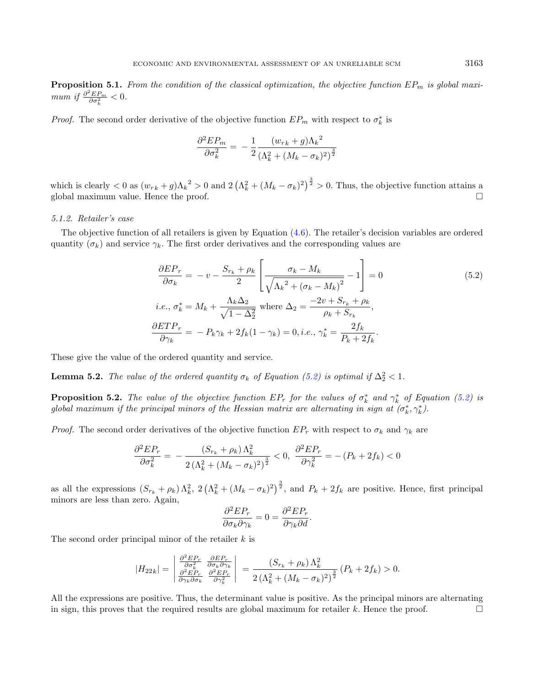**Proposition 5.1.** From the condition of the classical optimization, the objective function  $EP_m$  is global maximum if  $\frac{\partial^2 E P_m}{\partial \sigma_k^2} < 0$ .

*Proof.* The second order derivative of the objective function  $EP_m$  with respect to  $\sigma_k^*$  is

<span id="page-10-0"></span>
$$
\frac{\partial^2 E P_m}{\partial \sigma_k^2} = -\frac{1}{2} \frac{(w_{rk} + g)\Lambda_k^2}{(\Lambda_k^2 + (M_k - \sigma_k)^2)^{\frac{3}{2}}}
$$

which is clearly  $< 0$  as  $(w_{rk} + g) \Lambda_k^2 > 0$  and  $2(\Lambda_k^2 + (M_k - \sigma_k)^2)^{\frac{3}{2}} > 0$ . Thus, the objective function attains a global maximum value. Hence the proof.

#### 5.1.2. Retailer's case

The objective function of all retailers is given by Equation  $(4.6)$ . The retailer's decision variables are ordered quantity  $(\sigma_k)$  and service  $\gamma_k$ . The first order derivatives and the corresponding values are

$$
\frac{\partial EP_r}{\partial \sigma_k} = -v - \frac{S_{r_k} + \rho_k}{2} \left[ \frac{\sigma_k - M_k}{\sqrt{\Lambda_k^2 + (\sigma_k - M_k)^2}} - 1 \right] = 0
$$
\n
$$
i.e., \sigma_k^* = M_k + \frac{\Lambda_k \Delta_2}{\sqrt{1 - \Delta_2^2}} \text{ where } \Delta_2 = \frac{-2v + S_{r_k} + \rho_k}{\rho_k + S_{r_k}},
$$
\n
$$
\frac{\partial ETP_r}{\partial \gamma_k} = -P_k \gamma_k + 2f_k (1 - \gamma_k) = 0, i.e., \gamma_k^* = \frac{2f_k}{P_k + 2f_k}.
$$
\n(5.2)

These give the value of the ordered quantity and service.

**Lemma 5.2.** The value of the ordered quantity  $\sigma_k$  of Equation [\(5.2\)](#page-10-0) is optimal if  $\Delta_2^2 < 1$ .

**Proposition 5.2.** The value of the objective function  $EP_r$  for the values of  $\sigma_k^*$  and  $\gamma_k^*$  of Equation [\(5.2\)](#page-10-0) is global maximum if the principal minors of the Hessian matrix are alternating in sign at  $(\sigma_k^*, \gamma_k^*)$ .

*Proof.* The second order derivatives of the objective function  $EP_r$  with respect to  $\sigma_k$  and  $\gamma_k$  are

$$
\frac{\partial^2 E P_r}{\partial \sigma_k^2} = -\frac{(S_{r_k} + \rho_k) \Lambda_k^2}{2\left(\Lambda_k^2 + (M_k - \sigma_k)^2\right)^{\frac{3}{2}}} < 0, \ \frac{\partial^2 E P_r}{\partial \gamma_k^2} = -(P_k + 2f_k) < 0
$$

as all the expressions  $(S_{r_k} + \rho_k) \Lambda_k^2$ ,  $2(\Lambda_k^2 + (M_k - \sigma_k)^2)^{\frac{3}{2}}$ , and  $P_k + 2f_k$  are positive. Hence, first principal minors are less than zero. Again,

$$
\frac{\partial^2 EP_r}{\partial \sigma_k \partial \gamma_k} = 0 = \frac{\partial^2 EP_r}{\partial \gamma_k \partial d}.
$$

The second order principal minor of the retailer  $k$  is

$$
|H_{22k}| = \begin{vmatrix} \frac{\partial^2 E P_r}{\partial \sigma_k^2} & \frac{\partial E P_r}{\partial \sigma_k \partial \gamma_k} \\ \frac{\partial^2 E P_r}{\partial \gamma_k \partial \sigma_k} & \frac{\partial^2 E P_r}{\partial \gamma_k^2} \end{vmatrix} = \frac{(S_{r_k} + \rho_k) \Lambda_k^2}{2 (\Lambda_k^2 + (M_k - \sigma_k)^2)^{\frac{3}{2}}} (P_k + 2f_k) > 0.
$$

All the expressions are positive. Thus, the determinant value is positive. As the principal minors are alternating in sign, this proves that the required results are global maximum for retailer  $k$ . Hence the proof.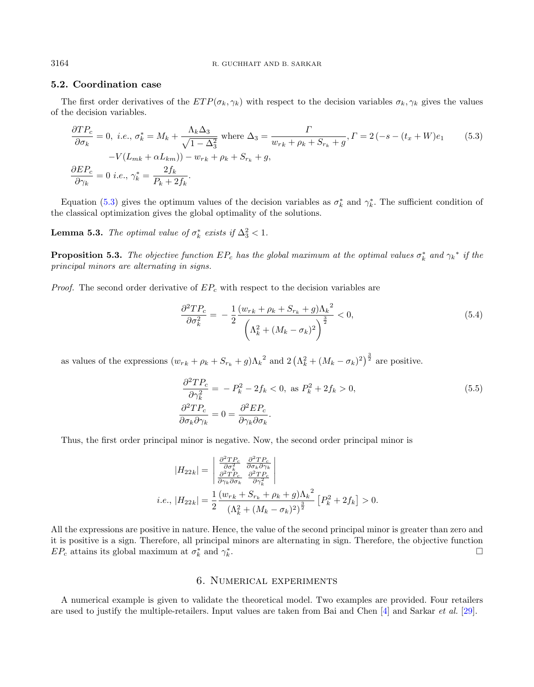# 5.2. Coordination case

The first order derivatives of the  $ETP(\sigma_k, \gamma_k)$  with respect to the decision variables  $\sigma_k, \gamma_k$  gives the values of the decision variables.

$$
\frac{\partial TP_c}{\partial \sigma_k} = 0, \ i.e., \sigma_k^* = M_k + \frac{\Lambda_k \Delta_3}{\sqrt{1 - \Delta_3^2}} \text{ where } \Delta_3 = \frac{\Gamma}{w_{rk} + \rho_k + S_{rk} + g}, \Gamma = 2(-s - (t_x + W)e_1 \qquad (5.3)
$$

$$
-V(L_{mk} + \alpha L_{km})) - w_{rk} + \rho_k + S_{rk} + g,
$$

$$
\frac{\partial EP_c}{\partial \gamma_k} = 0 \ i.e., \ \gamma_k^* = \frac{2f_k}{P_k + 2f_k}.
$$

Equation [\(5.3\)](#page-11-1) gives the optimum values of the decision variables as  $\sigma_k^*$  and  $\gamma_k^*$ . The sufficient condition of the classical optimization gives the global optimality of the solutions.

**Lemma 5.3.** The optimal value of  $\sigma_k^*$  exists if  $\Delta_3^2 < 1$ .

**Proposition 5.3.** The objective function  $EP_c$  has the global maximum at the optimal values  $\sigma_k^*$  and  $\gamma_k^*$  if the principal minors are alternating in signs.

*Proof.* The second order derivative of  $EP_c$  with respect to the decision variables are

<span id="page-11-1"></span>
$$
\frac{\partial^2 TP_c}{\partial \sigma_k^2} = -\frac{1}{2} \frac{(w_{rk} + \rho_k + S_{rk} + g)\Lambda_k^2}{\left(\Lambda_k^2 + (M_k - \sigma_k)^2\right)^{\frac{3}{2}}} < 0,
$$
\n(5.4)

as values of the expressions  $(w_{rk} + \rho_k + S_{r_k} + g)\Lambda_k^2$  and  $2(\Lambda_k^2 + (M_k - \sigma_k)^2)^{\frac{3}{2}}$  are positive.

$$
\frac{\partial^2 TP_c}{\partial \gamma_k^2} = -P_k^2 - 2f_k < 0, \text{ as } P_k^2 + 2f_k > 0,
$$
\n
$$
\frac{\partial^2 TP_c}{\partial \sigma_k \partial \gamma_k} = 0 = \frac{\partial^2 EP_c}{\partial \gamma_k \partial \sigma_k}.
$$
\n
$$
(5.5)
$$

Thus, the first order principal minor is negative. Now, the second order principal minor is

$$
|H_{22k}| = \begin{vmatrix} \frac{\partial^2 T P_c}{\partial \sigma_k^2} & \frac{\partial^2 T P_c}{\partial \sigma_k \partial \gamma_k} \\ \frac{\partial^2 T P_c}{\partial \gamma_k \partial \sigma_k} & \frac{\partial^2 T P_c}{\partial \gamma_k^2} \end{vmatrix}
$$
  
i.e.,  $|H_{22k}| = \frac{1}{2} \frac{(w_{rk} + S_{rk} + \rho_k + g)\Lambda_k^2}{(\Lambda_k^2 + (M_k - \sigma_k)^2)^{\frac{3}{2}}} [P_k^2 + 2f_k] > 0.$ 

All the expressions are positive in nature. Hence, the value of the second principal minor is greater than zero and it is positive is a sign. Therefore, all principal minors are alternating in sign. Therefore, the objective function  $EP_c$  attains its global maximum at  $\sigma_k^*$  and  $\gamma_k^*$ .

# 6. Numerical experiments

<span id="page-11-0"></span>A numerical example is given to validate the theoretical model. Two examples are provided. Four retailers are used to justify the multiple-retailers. Input values are taken from Bai and Chen [\[4\]](#page-16-15) and Sarkar et al. [\[29\]](#page-17-10).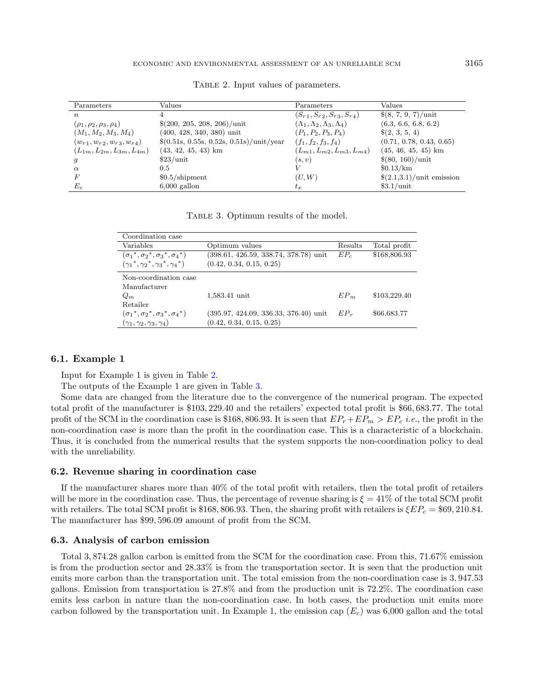| Parameters                         | Values                                                   | Parameters                                     | Values                                     |
|------------------------------------|----------------------------------------------------------|------------------------------------------------|--------------------------------------------|
| $\boldsymbol{n}$                   |                                                          | $(S_{r1}, S_{r2}, S_{r3}, S_{r4})$             | $\$(8, 7, 9, 7)/$ unit                     |
| $(\rho_1, \rho_2, \rho_3, \rho_4)$ | $$(200, 205, 208, 206)/$ unit                            | $(\Lambda_1, \Lambda_2, \Lambda_3, \Lambda_4)$ | (6.3, 6.6, 6.8, 6.2)                       |
| $(M_1, M_2, M_3, M_4)$             | $(400, 428, 340, 380)$ unit                              | $(P_1, P_2, P_3, P_4)$                         | $\{(2, 3, 5, 4)\}$                         |
| $(w_{r1}, w_{r2}, w_{r3}, w_{r4})$ | $\frac{(0.51s, 0.55s, 0.52s, 0.51s)}{\text{unit}}$ /year | $(f_1, f_2, f_3, f_4)$                         | (0.71, 0.78, 0.43, 0.65)                   |
| $(L_{1m}, L_{2m}, L_{3m}, L_{4m})$ | $(43, 42, 45, 43)$ km                                    | $(L_{m1}, L_{m2}, L_{m3}, L_{m4})$             | $(45, 46, 45, 45)$ km                      |
|                                    | $$23/$ unit                                              | (s, v)                                         | \$(80, 160)/unit                           |
| $\alpha$                           | 0.5                                                      |                                                | \$0.13/km                                  |
|                                    | $$0.5/s$ hipment                                         | (U, W)                                         | $\frac{\{(2.1,3.1)}{\text{unit emission}}$ |
| $E_c$                              | $6,000$ gallon                                           | $t_x$                                          | \$3.1/unit                                 |

<span id="page-12-1"></span><span id="page-12-0"></span>TABLE 2. Input values of parameters.

Table 3. Optimum results of the model.

| Coordination case                                  |                                         |         |              |
|----------------------------------------------------|-----------------------------------------|---------|--------------|
| Variables                                          | Optimum values                          | Results | Total profit |
| $(\sigma_1^*, \sigma_2^*, \sigma_3^*, \sigma_4^*)$ | $(398.61, 426.59, 338.74, 378.78)$ unit | $EP_c$  | \$168,806.93 |
| $(\gamma_1^*, \gamma_2^*, \gamma_3^*, \gamma_4^*)$ | (0.42, 0.34, 0.15, 0.25)                |         |              |
| Non-coordination case                              |                                         |         |              |
| Manufacturer                                       |                                         |         |              |
| $Q_m$                                              | 1,583.41 unit                           | $EP_m$  | \$103,229.40 |
| Retailer                                           |                                         |         |              |
| $(\sigma_1^*, \sigma_2^*, \sigma_3^*, \sigma_4^*)$ | $(395.97, 424.09, 336.33, 376.40)$ unit | $EP_r$  | \$66,683.77  |
| $(\gamma_1, \gamma_2, \gamma_3, \gamma_4)$         | (0.42, 0.34, 0.15, 0.25)                |         |              |

#### 6.1. Example 1

Input for Example 1 is given in Table [2.](#page-12-0)

The outputs of the Example 1 are given in Table [3.](#page-12-1)

Some data are changed from the literature due to the convergence of the numerical program. The expected total profit of the manufacturer is \$103, 229.40 and the retailers' expected total profit is \$66, 683.77. The total profit of the SCM in the coordination case is \$168, 806.93. It is seen that  $EP_r+EP_m > EP_c$  *i.e.*, the profit in the non-coordination case is more than the profit in the coordination case. This is a characteristic of a blockchain. Thus, it is concluded from the numerical results that the system supports the non-coordination policy to deal with the unreliability.

#### 6.2. Revenue sharing in coordination case

If the manufacturer shares more than 40% of the total profit with retailers, then the total profit of retailers will be more in the coordination case. Thus, the percentage of revenue sharing is  $\xi = 41\%$  of the total SCM profit with retailers. The total SCM profit is \$168, 806.93. Then, the sharing profit with retailers is  $\mathcal{E}EP_c = $69, 210.84$ . The manufacturer has \$99, 596.09 amount of profit from the SCM.

#### 6.3. Analysis of carbon emission

Total 3, 874.28 gallon carbon is emitted from the SCM for the coordination case. From this, 71.67% emission is from the production sector and 28.33% is from the transportation sector. It is seen that the production unit emits more carbon than the transportation unit. The total emission from the non-coordination case is 3, 947.53 gallons. Emission from transportation is 27.8% and from the production unit is 72.2%. The coordination case emits less carbon in nature than the non-coordination case. In both cases, the production unit emits more carbon followed by the transportation unit. In Example 1, the emission cap  $(E_c)$  was 6,000 gallon and the total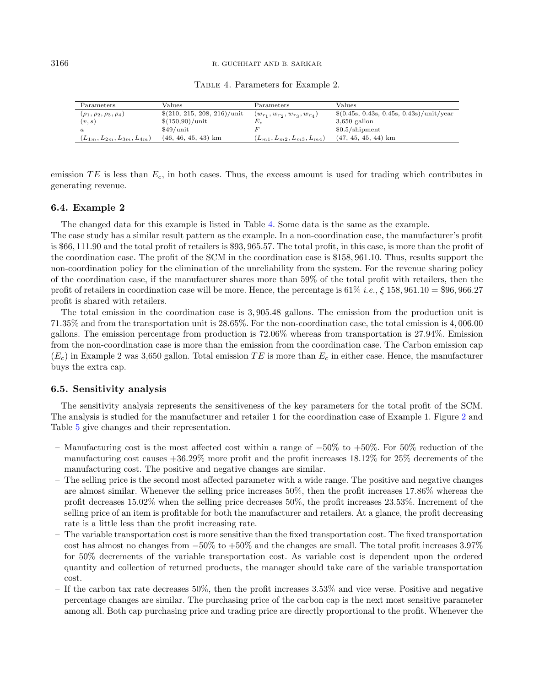| Parameters                         | Values                        | Parameters                             | Values                                   |
|------------------------------------|-------------------------------|----------------------------------------|------------------------------------------|
| $(\rho_1, \rho_2, \rho_3, \rho_4)$ | $$(210, 215, 208, 216)/$ unit | $(w_{r_1}, w_{r_2}, w_{r_3}, w_{r_4})$ | $(0.45s, 0.43s, 0.45s, 0.43s)/unit/year$ |
| (v,s)                              | \$(150,90)/unit               | E,                                     | $3,650$ gallon                           |
| $\alpha$                           | $$49/$ unit                   |                                        | $$0.5/s$ hipment                         |
| $(L_{1m}, L_{2m}, L_{3m}, L_{4m})$ | $(46, 46, 45, 43)$ km         | $(L_{m1}, L_{m2}, L_{m3}, L_{m4})$     | $(47, 45, 45, 44)$ km                    |

<span id="page-13-0"></span>Table 4. Parameters for Example 2.

emission  $TE$  is less than  $E_c$ , in both cases. Thus, the excess amount is used for trading which contributes in generating revenue.

#### 6.4. Example 2

The changed data for this example is listed in Table [4.](#page-13-0) Some data is the same as the example.

The case study has a similar result pattern as the example. In a non-coordination case, the manufacturer's profit is \$66, 111.90 and the total profit of retailers is \$93, 965.57. The total profit, in this case, is more than the profit of the coordination case. The profit of the SCM in the coordination case is \$158, 961.10. Thus, results support the non-coordination policy for the elimination of the unreliability from the system. For the revenue sharing policy of the coordination case, if the manufacturer shares more than 59% of the total profit with retailers, then the profit of retailers in coordination case will be more. Hence, the percentage is  $61\%$  i.e.,  $\xi$  158, 961.10 = \$96, 966.27 profit is shared with retailers.

The total emission in the coordination case is 3, 905.48 gallons. The emission from the production unit is 71.35% and from the transportation unit is 28.65%. For the non-coordination case, the total emission is 4, 006.00 gallons. The emission percentage from production is 72.06% whereas from transportation is 27.94%. Emission from the non-coordination case is more than the emission from the coordination case. The Carbon emission cap  $(E_c)$  in Example 2 was 3,650 gallon. Total emission TE is more than  $E_c$  in either case. Hence, the manufacturer buys the extra cap.

#### 6.5. Sensitivity analysis

The sensitivity analysis represents the sensitiveness of the key parameters for the total profit of the SCM. The analysis is studied for the manufacturer and retailer 1 for the coordination case of Example 1. Figure [2](#page-14-1) and Table [5](#page-15-1) give changes and their representation.

- Manufacturing cost is the most affected cost within a range of  $-50\%$  to  $+50\%$ . For 50% reduction of the manufacturing cost causes +36.29% more profit and the profit increases 18.12% for 25% decrements of the manufacturing cost. The positive and negative changes are similar.
- The selling price is the second most affected parameter with a wide range. The positive and negative changes are almost similar. Whenever the selling price increases 50%, then the profit increases 17.86% whereas the profit decreases 15.02% when the selling price decreases 50%, the profit increases 23.53%. Increment of the selling price of an item is profitable for both the manufacturer and retailers. At a glance, the profit decreasing rate is a little less than the profit increasing rate.
- The variable transportation cost is more sensitive than the fixed transportation cost. The fixed transportation cost has almost no changes from −50% to +50% and the changes are small. The total profit increases 3.97% for 50% decrements of the variable transportation cost. As variable cost is dependent upon the ordered quantity and collection of returned products, the manager should take care of the variable transportation cost.
- If the carbon tax rate decreases 50%, then the profit increases 3.53% and vice verse. Positive and negative percentage changes are similar. The purchasing price of the carbon cap is the next most sensitive parameter among all. Both cap purchasing price and trading price are directly proportional to the profit. Whenever the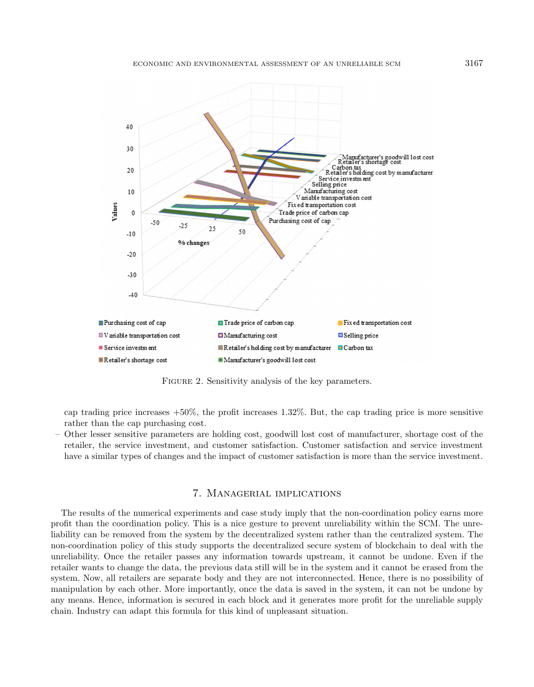

<span id="page-14-1"></span>FIGURE 2. Sensitivity analysis of the key parameters.

cap trading price increases  $+50\%$ , the profit increases 1.32%. But, the cap trading price is more sensitive rather than the cap purchasing cost.

– Other lesser sensitive parameters are holding cost, goodwill lost cost of manufacturer, shortage cost of the retailer, the service investment, and customer satisfaction. Customer satisfaction and service investment have a similar types of changes and the impact of customer satisfaction is more than the service investment.

#### 7. Managerial implications

<span id="page-14-0"></span>The results of the numerical experiments and case study imply that the non-coordination policy earns more profit than the coordination policy. This is a nice gesture to prevent unreliability within the SCM. The unreliability can be removed from the system by the decentralized system rather than the centralized system. The non-coordination policy of this study supports the decentralized secure system of blockchain to deal with the unreliability. Once the retailer passes any information towards upstream, it cannot be undone. Even if the retailer wants to change the data, the previous data still will be in the system and it cannot be erased from the system. Now, all retailers are separate body and they are not interconnected. Hence, there is no possibility of manipulation by each other. More importantly, once the data is saved in the system, it can not be undone by any means. Hence, information is secured in each block and it generates more profit for the unreliable supply chain. Industry can adapt this formula for this kind of unpleasant situation.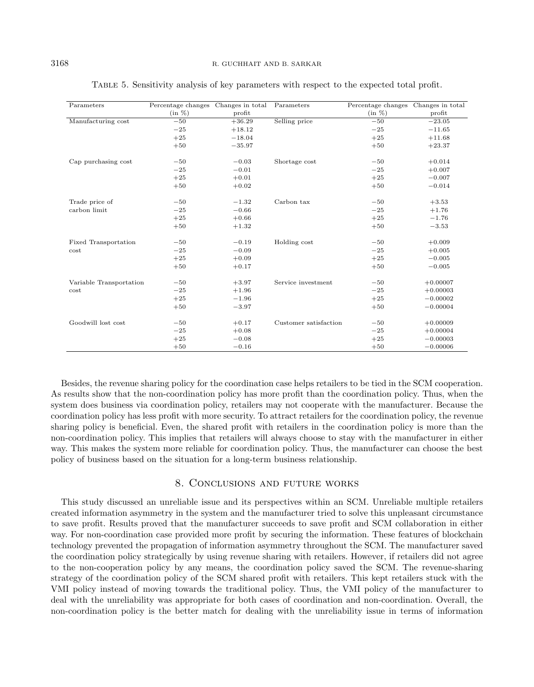| Parameters              | Percentage changes Changes in total |          | Parameters            | Percentage changes Changes in total |            |
|-------------------------|-------------------------------------|----------|-----------------------|-------------------------------------|------------|
|                         | $(in \%)$                           | profit   |                       | (in %)                              | profit     |
| Manufacturing cost      | $-50$                               | $+36.29$ | Selling price         | $-50$                               | $-23.05$   |
|                         | $-25$                               | $+18.12$ |                       | $-25$                               | $-11.65$   |
|                         | $+25$                               | $-18.04$ |                       | $+25$                               | $+11.68$   |
|                         | $+50$                               | $-35.97$ |                       | $+50$                               | $+23.37$   |
| Cap purchasing cost     | $-50$                               | $-0.03$  | Shortage cost         | $-50$                               | $+0.014$   |
|                         | $-25$                               | $-0.01$  |                       | $-25$                               | $+0.007$   |
|                         | $+25$                               | $+0.01$  |                       | $+25$                               | $-0.007$   |
|                         | $+50$                               | $+0.02$  |                       | $+50$                               | $-0.014$   |
| Trade price of          | $-50$                               | $-1.32$  | Carbon tax            | $-50$                               | $+3.53$    |
| carbon limit            | $-25$                               | $-0.66$  |                       | $-25$                               | $+1.76$    |
|                         | $+25$                               | $+0.66$  |                       | $+25$                               | $-1.76$    |
|                         | $+50$                               | $+1.32$  |                       | $+50$                               | $-3.53$    |
| Fixed Transportation    | $-50$                               | $-0.19$  | Holding cost          | $-50$                               | $+0.009$   |
| cost                    | $-25$                               | $-0.09$  |                       | $-25$                               | $+0.005$   |
|                         | $+25$                               | $+0.09$  |                       | $+25$                               | $-0.005$   |
|                         | $+50$                               | $+0.17$  |                       | $+50$                               | $-0.005$   |
| Variable Transportation | $-50$                               | $+3.97$  | Service investment    | $-50$                               | $+0.00007$ |
| cost                    | $-25$                               | $+1.96$  |                       | $-25$                               | $+0.00003$ |
|                         | $+25$                               | $-1.96$  |                       | $+25$                               | $-0.00002$ |
|                         | $+50$                               | $-3.97$  |                       | $+50$                               | $-0.00004$ |
| Goodwill lost cost      | $-50$                               | $+0.17$  | Customer satisfaction | $-50$                               | $+0.00009$ |
|                         | $-25$                               | $+0.08$  |                       | $-25$                               | $+0.00004$ |
|                         | $+25$                               | $-0.08$  |                       | $+25$                               | $-0.00003$ |
|                         | $+50$                               | $-0.16$  |                       | $+50$                               | $-0.00006$ |

<span id="page-15-1"></span>Table 5. Sensitivity analysis of key parameters with respect to the expected total profit.

Besides, the revenue sharing policy for the coordination case helps retailers to be tied in the SCM cooperation. As results show that the non-coordination policy has more profit than the coordination policy. Thus, when the system does business via coordination policy, retailers may not cooperate with the manufacturer. Because the coordination policy has less profit with more security. To attract retailers for the coordination policy, the revenue sharing policy is beneficial. Even, the shared profit with retailers in the coordination policy is more than the non-coordination policy. This implies that retailers will always choose to stay with the manufacturer in either way. This makes the system more reliable for coordination policy. Thus, the manufacturer can choose the best policy of business based on the situation for a long-term business relationship.

# 8. Conclusions and future works

<span id="page-15-0"></span>This study discussed an unreliable issue and its perspectives within an SCM. Unreliable multiple retailers created information asymmetry in the system and the manufacturer tried to solve this unpleasant circumstance to save profit. Results proved that the manufacturer succeeds to save profit and SCM collaboration in either way. For non-coordination case provided more profit by securing the information. These features of blockchain technology prevented the propagation of information asymmetry throughout the SCM. The manufacturer saved the coordination policy strategically by using revenue sharing with retailers. However, if retailers did not agree to the non-cooperation policy by any means, the coordination policy saved the SCM. The revenue-sharing strategy of the coordination policy of the SCM shared profit with retailers. This kept retailers stuck with the VMI policy instead of moving towards the traditional policy. Thus, the VMI policy of the manufacturer to deal with the unreliability was appropriate for both cases of coordination and non-coordination. Overall, the non-coordination policy is the better match for dealing with the unreliability issue in terms of information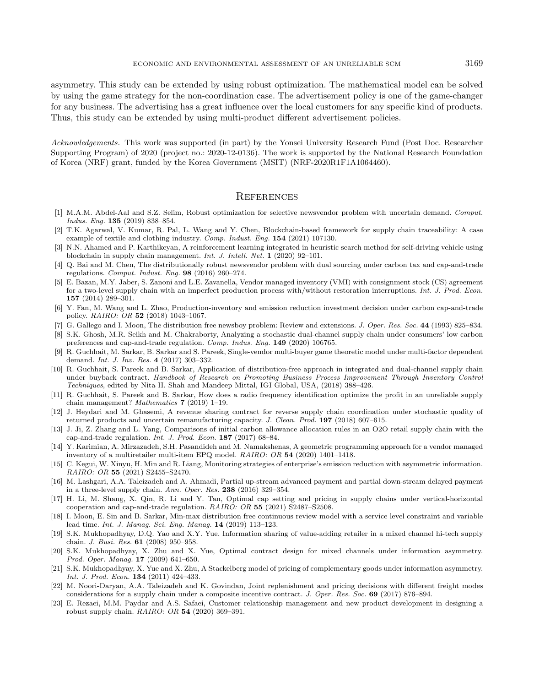<span id="page-16-20"></span><span id="page-16-2"></span>asymmetry. This study can be extended by using robust optimization. The mathematical model can be solved by using the game strategy for the non-coordination case. The advertisement policy is one of the game-changer for any business. The advertising has a great influence over the local customers for any specific kind of products. Thus, this study can be extended by using multi-product different advertisement policies.

<span id="page-16-21"></span><span id="page-16-15"></span><span id="page-16-7"></span>Acknowledgements. This work was supported (in part) by the Yonsei University Research Fund (Post Doc. Researcher Supporting Program) of 2020 (project no.: 2020-12-0136). The work is supported by the National Research Foundation of Korea (NRF) grant, funded by the Korea Government (MSIT) (NRF-2020R1F1A1064460).

# **REFERENCES**

- <span id="page-16-18"></span><span id="page-16-11"></span><span id="page-16-4"></span>[1] M.A.M. Abdel-Aal and S.Z. Selim, Robust optimization for selective newsvendor problem with uncertain demand. Comput. Indus. Eng. 135 (2019) 838–854.
- <span id="page-16-1"></span>[2] T.K. Agarwal, V. Kumar, R. Pal, L. Wang and Y. Chen, Blockchain-based framework for supply chain traceability: A case example of textile and clothing industry. Comp. Indust. Eng. 154 (2021) 107130.
- <span id="page-16-6"></span>[3] N.N. Ahamed and P. Karthikeyan, A reinforcement learning integrated in heuristic search method for self-driving vehicle using blockchain in supply chain management. Int. J. Intell. Net. 1 (2020) 92–101.
- <span id="page-16-16"></span>[4] Q. Bai and M. Chen, The distributionally robust newsvendor problem with dual sourcing under carbon tax and cap-and-trade regulations. Comput. Indust. Eng. 98 (2016) 260–274.
- <span id="page-16-8"></span>[5] E. Bazan, M.Y. Jaber, S. Zanoni and L.E. Zavanella, Vendor managed inventory (VMI) with consignment stock (CS) agreement for a two-level supply chain with an imperfect production process with/without restoration interruptions. Int. J. Prod. Econ. 157 (2014) 289–301.
- <span id="page-16-10"></span>[6] Y. Fan, M. Wang and L. Zhao, Production-inventory and emission reduction investment decision under carbon cap-and-trade policy. RAIRO: OR 52 (2018) 1043–1067.
- <span id="page-16-19"></span>[7] G. Gallego and I. Moon, The distribution free newsboy problem: Review and extensions. J. Oper. Res. Soc. 44 (1993) 825–834.
- <span id="page-16-12"></span>[8] S.K. Ghosh, M.R. Seikh and M. Chakraborty, Analyzing a stochastic dual-channel supply chain under consumers' low carbon preferences and cap-and-trade regulation. Comp. Indus. Eng. 149 (2020) 106765.
- <span id="page-16-0"></span>[9] R. Guchhait, M. Sarkar, B. Sarkar and S. Pareek, Single-vendor multi-buyer game theoretic model under multi-factor dependent demand. Int. J. Inv. Res. 4 (2017) 303–332.
- <span id="page-16-9"></span>[10] R. Guchhait, S. Pareek and B. Sarkar, Application of distribution-free approach in integrated and dual-channel supply chain under buyback contract. Handbook of Research on Promoting Business Process Improvement Through Inventory Control Techniques, edited by Nita H. Shah and Mandeep Mittal, IGI Global, USA, (2018) 388–426.
- <span id="page-16-5"></span>[11] R. Guchhait, S. Pareek and B. Sarkar, How does a radio frequency identification optimize the profit in an unreliable supply chain management? Mathematics 7 (2019) 1–19.
- <span id="page-16-13"></span>[12] J. Heydari and M. Ghasemi, A revenue sharing contract for reverse supply chain coordination under stochastic quality of returned products and uncertain remanufacturing capacity. J. Clean. Prod. 197 (2018) 607–615.
- <span id="page-16-14"></span>[13] J. Ji, Z. Zhang and L. Yang, Comparisons of initial carbon allowance allocation rules in an O2O retail supply chain with the cap-and-trade regulation. Int. J. Prod. Econ. 187 (2017) 68–84.
- <span id="page-16-17"></span>[14] Y. Karimian, A. Mirzazadeh, S.H. Pasandideh and M. Namakshenas, A geometric programming approach for a vendor managed inventory of a multiretailer multi-item EPQ model. RAIRO: OR 54 (2020) 1401–1418.
- <span id="page-16-22"></span>[15] C. Kegui, W. Xinyu, H. Min and R. Liang, Monitoring strategies of enterprise's emission reduction with asymmetric information. RAIRO: OR 55 (2021) S2455–S2470.
- <span id="page-16-3"></span>[16] M. Lashgari, A.A. Taleizadeh and A. Ahmadi, Partial up-stream advanced payment and partial down-stream delayed payment in a three-level supply chain. Ann. Oper. Res. 238 (2016) 329–354.
- [17] H. Li, M. Shang, X. Qin, R. Li and Y. Tan, Optimal cap setting and pricing in supply chains under vertical-horizontal cooperation and cap-and-trade regulation. RAIRO: OR 55 (2021) S2487–S2508.
- [18] I. Moon, E. Sin and B. Sarkar, Min-max distribution free continuous review model with a service level constraint and variable lead time. Int. J. Manag. Sci. Eng. Manag. 14 (2019) 113–123.
- [19] S.K. Mukhopadhyay, D.Q. Yao and X.Y. Yue, Information sharing of value-adding retailer in a mixed channel hi-tech supply chain. J. Busi. Res. 61 (2008) 950–958.
- [20] S.K. Mukhopadhyay, X. Zhu and X. Yue, Optimal contract design for mixed channels under information asymmetry. Prod. Oper. Manag. 17 (2009) 641–650.
- [21] S.K. Mukhopadhyay, X. Yue and X. Zhu, A Stackelberg model of pricing of complementary goods under information asymmetry. Int. J. Prod. Econ. 134 (2011) 424–433.
- [22] M. Noori-Daryan, A.A. Taleizadeh and K. Govindan, Joint replenishment and pricing decisions with different freight modes considerations for a supply chain under a composite incentive contract. J. Oper. Res. Soc. 69 (2017) 876–894.
- [23] E. Rezaei, M.M. Paydar and A.S. Safaei, Customer relationship management and new product development in designing a robust supply chain. RAIRO: OR 54 (2020) 369–391.